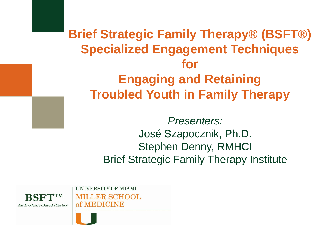**Brief Strategic Family Therapy® (BSFT®) Specialized Engagement Techniques for Engaging and Retaining Troubled Youth in Family Therapy**

> *Presenters:* José Szapocznik, Ph.D. Stephen Denny, RMHCI Brief Strategic Family Therapy Institute



UNIVERSITY OF MIAMI **MILLER SCHOOL** 

of MEDICINE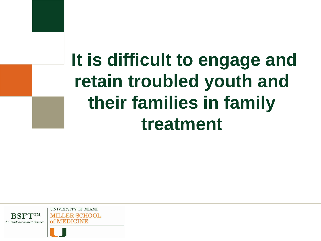## **It is difficult to engage and retain troubled youth and their families in family treatment**

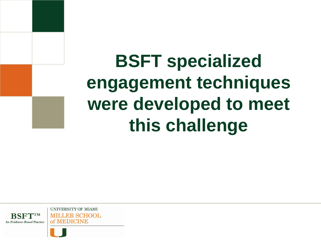**BSFT specialized engagement techniques were developed to meet this challenge** 

**UNIVERSITY OF MIAMI MILLER SCHOOL** of MEDICINE An Evidence-Based Practice



**BSFTIM**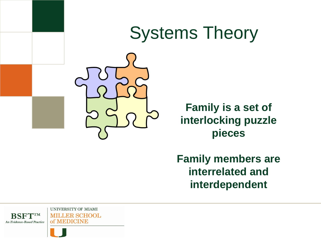## Systems Theory



**Family is a set of interlocking puzzle pieces**

**Family members are interrelated and interdependent**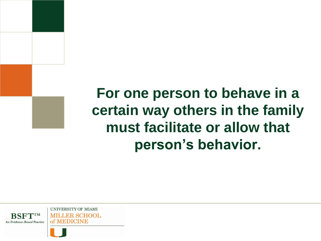### **For one person to behave in a certain way others in the family must facilitate or allow that person's behavior.**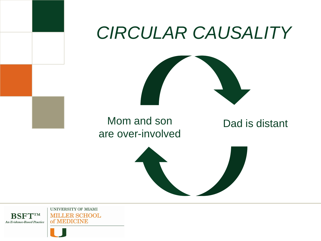

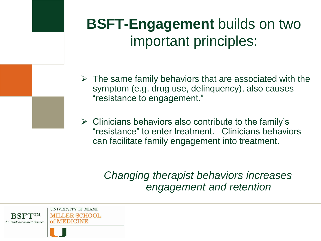### **BSFT-Engagement** builds on two important principles:

- $\triangleright$  The same family behaviors that are associated with the symptom (e.g. drug use, delinquency), also causes "resistance to engagement."
- $\triangleright$  Clinicians behaviors also contribute to the family's "resistance" to enter treatment. Clinicians behaviors can facilitate family engagement into treatment.

*Changing therapist behaviors increases engagement and retention*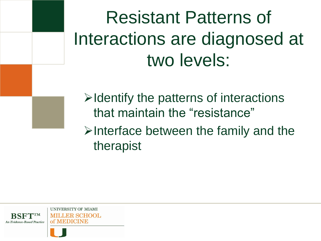Resistant Patterns of Interactions are diagnosed at two levels:

 $\triangleright$  Identify the patterns of interactions that maintain the "resistance"  $\triangleright$  Interface between the family and the therapist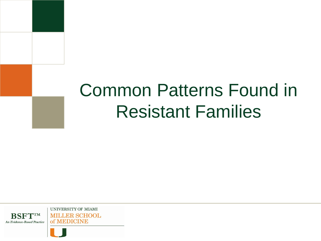## Common Patterns Found in Resistant Families

**BSFTTM** An Evidence-Based Practice

UNIVERSITY OF MIAMI **MILLER SCHOOL** of MEDICINE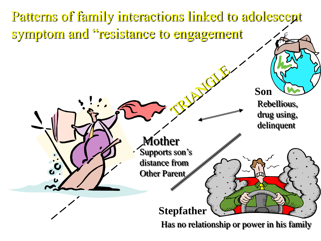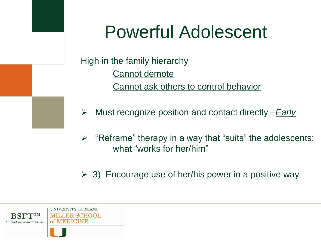## Powerful Adolescent

High in the family hierarchy Cannot demote Cannot ask others to control behavior

Must recognize position and contact directly –*Early*

- $\triangleright$  "Reframe" therapy in a way that "suits" the adolescents: what "works for her/him"
- $\geq$  3) Encourage use of her/his power in a positive way

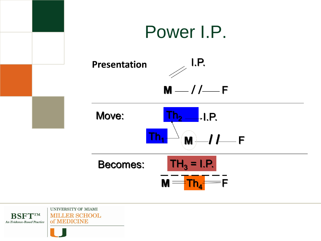

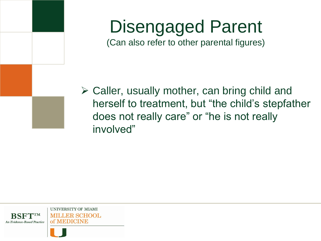### Disengaged Parent (Can also refer to other parental figures)

 $\triangleright$  Caller, usually mother, can bring child and herself to treatment, but "the child's stepfather does not really care" or "he is not really involved"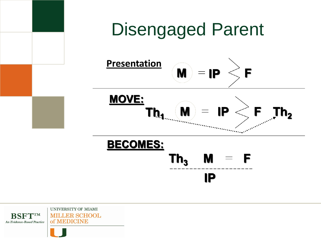

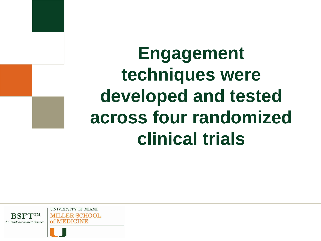**Engagement techniques were developed and tested across four randomized clinical trials**

**UNIVERSITY OF MIAMI LER SCHOOL** of MEDICINE

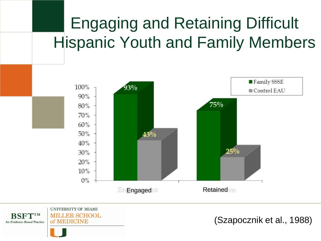### Engaging and Retaining Difficult Hispanic Youth and Family Members



UNIVERSITY OF MIAMI **BSFTTM MILLER SCHOOL** of MEDICINE An Evidence-Based Practice

(Szapocznik et al., 1988)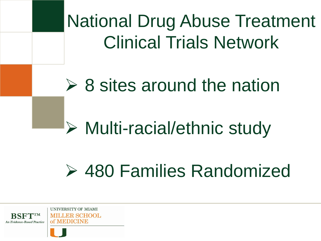National Drug Abuse Treatment Clinical Trials Network

## $\geq 8$  sites around the nation

## Multi-racial/ethnic study

## 480 Families Randomized

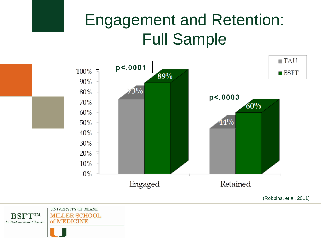#### Engagement and Retention: Full Sample  $\blacksquare$  TAU p<.0001 100%  $\blacksquare$  BSFT 89% 90%  $3\%$  $80\%$  $p<0.003$ 70%  $60%$ 60%  $50\%$  $44%$ 40% 30%  $20\%$  =  $10\%$  $0\%$

Engaged

(Robbins, et al, 2011)

Retained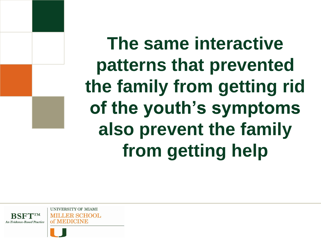**The same interactive patterns that prevented the family from getting rid of the youth's symptoms also prevent the family from getting help** 

**UNIVERSITY OF MIAMI LER SCHOOL** of MEDICINE

An Evidence-Based Practice

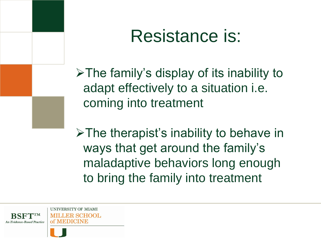## Resistance is:

 $\triangleright$  The family's display of its inability to adapt effectively to a situation i.e. coming into treatment

 $\triangleright$  The therapist's inability to behave in ways that get around the family's maladaptive behaviors long enough to bring the family into treatment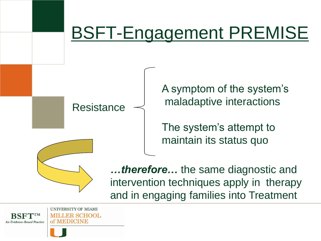## BSFT-Engagement PREMISE

**Resistance** 

A symptom of the system's maladaptive interactions

The system's attempt to maintain its status quo

*…therefore…* the same diagnostic and intervention techniques apply in therapy and in engaging families into Treatment

**An Evidence-Based Practice** 

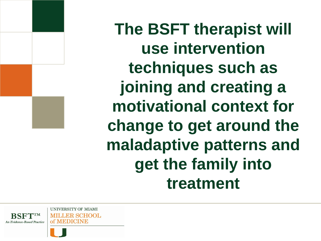**The BSFT therapist will use intervention techniques such as joining and creating a motivational context for change to get around the maladaptive patterns and get the family into treatment** 

**UNIVERSITY OF MIAMI** ER SCHOOL. of MEDICINE

**An Evidence-Based Practice**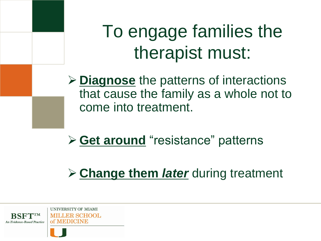## To engage families the therapist must:

 **Diagnose** the patterns of interactions that cause the family as a whole not to come into treatment.

**≻ Get around** "resistance" patterns

**Change them** *later* during treatment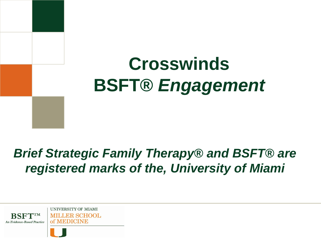## **Crosswinds BSFT®** *Engagement*

### *Brief Strategic Family Therapy® and BSFT® are registered marks of the, University of Miami*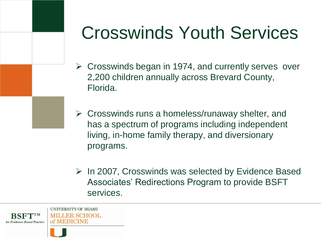## Crosswinds Youth Services

- $\triangleright$  Crosswinds began in 1974, and currently serves over 2,200 children annually across Brevard County, Florida.
- $\triangleright$  Crosswinds runs a homeless/runaway shelter, and has a spectrum of programs including independent living, in-home family therapy, and diversionary programs.
- $\triangleright$  In 2007, Crosswinds was selected by Evidence Based Associates' Redirections Program to provide BSFT services.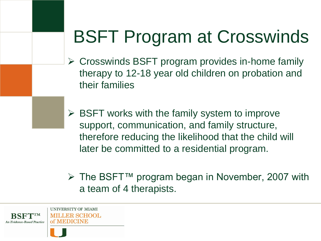## BSFT Program at Crosswinds

- Crosswinds BSFT program provides in-home family therapy to 12-18 year old children on probation and their families
- $\triangleright$  BSFT works with the family system to improve support, communication, and family structure, therefore reducing the likelihood that the child will later be committed to a residential program.
- The BSFT™ program began in November, 2007 with a team of 4 therapists.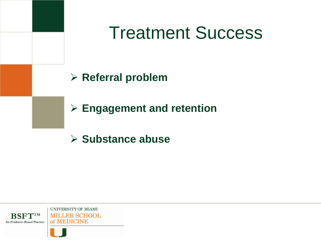

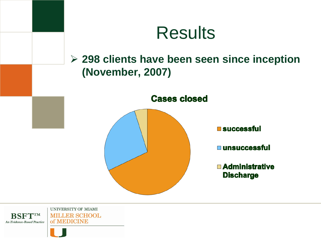

**BSFTTM MILLER SCHOOL** of MEDICINE An Evidence-Based Practice

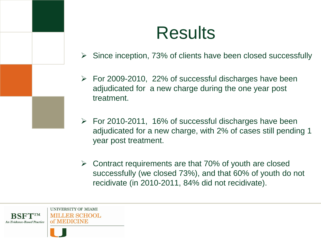## **Results**

- $\triangleright$  Since inception, 73% of clients have been closed successfully
- $\triangleright$  For 2009-2010, 22% of successful discharges have been adjudicated for a new charge during the one year post treatment.
- $\triangleright$  For 2010-2011, 16% of successful discharges have been adjudicated for a new charge, with 2% of cases still pending 1 year post treatment.
- $\triangleright$  Contract requirements are that 70% of youth are closed successfully (we closed 73%), and that 60% of youth do not recidivate (in 2010-2011, 84% did not recidivate).

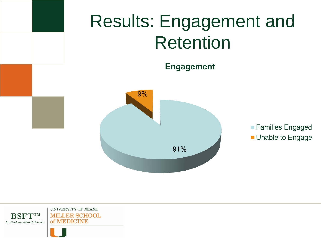

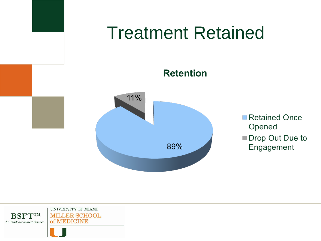

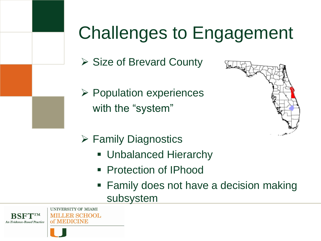## Challenges to Engagement

- $\triangleright$  Size of Brevard County
- $\triangleright$  Population experiences with the "system"



- Family Diagnostics
	- **Unbalanced Hierarchy**
	- Protection of IPhood
	- Family does not have a decision making subsystem

**An Evidence-Based Practice** 

UNIVERSITY OF MIAMI **MILLER SCHOOL** of MEDICINE

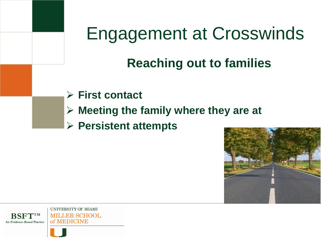### **Reaching out to families**

- **First contact**
- **Meeting the family where they are at**
- **Persistent attempts**

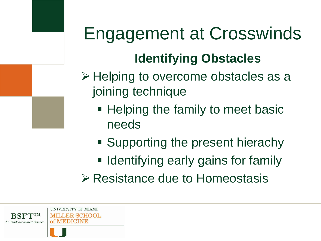## **Identifying Obstacles**

- $\triangleright$  Helping to overcome obstacles as a joining technique
	- **Helping the family to meet basic** needs
	- **Supporting the present hierachy**
	- **I** Identifying early gains for family
- **Example 2 Resistance due to Homeostasis**

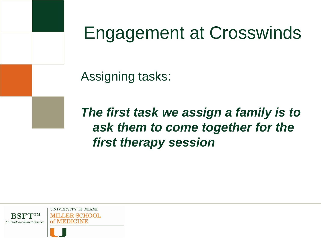

Assigning tasks:

*The first task we assign a family is to ask them to come together for the first therapy session*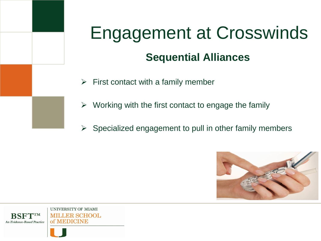## Engagement at Crosswinds **Sequential Alliances**

- $\triangleright$  First contact with a family member
- $\triangleright$  Working with the first contact to engage the family
- $\triangleright$  Specialized engagement to pull in other family members